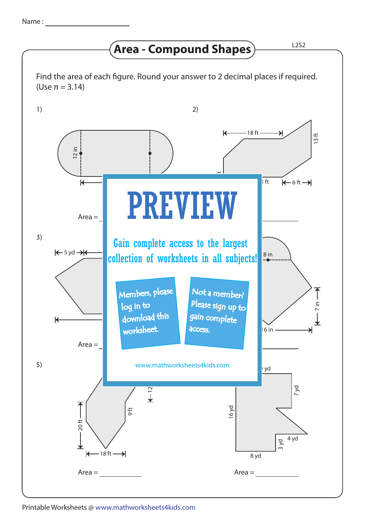## **Area - Compound Shapes**  $\overline{\phantom{a}}$  L2S2

Find the area of each figure. Round your answer to 2 decimal places if required. (Use π = 3.14)



Printable Worksheets @ www.mathworksheets4kids.com